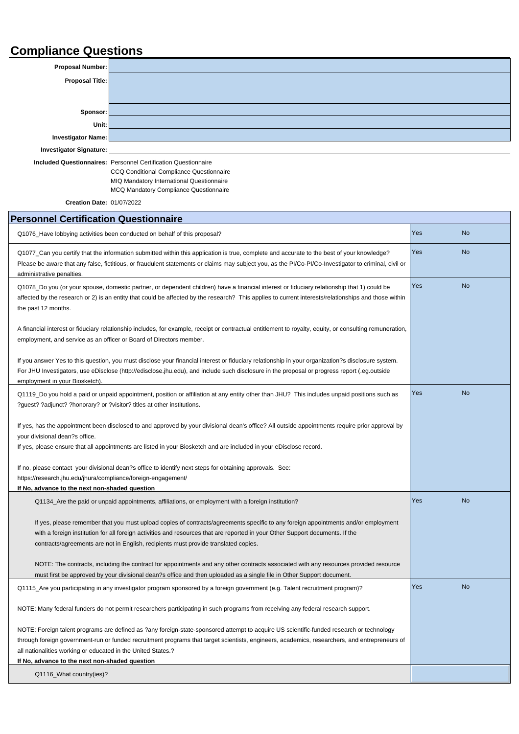## **Compliance Questions**

| Proposal Number:               |                                                                       |
|--------------------------------|-----------------------------------------------------------------------|
| Proposal Title:                |                                                                       |
|                                |                                                                       |
|                                |                                                                       |
| Sponsor:                       |                                                                       |
| Unit:                          |                                                                       |
| Investigator Name:             |                                                                       |
| <b>Investigator Signature:</b> |                                                                       |
|                                | <b>Included Questionnaires: Personnel Certification Questionnaire</b> |
|                                | CCQ Conditional Compliance Questionnaire                              |

MIQ Mandatory International Questionnaire

MCQ Mandatory Compliance Questionnaire

**Creation Date:** 01/07/2022

| <b>Personnel Certification Questionnaire</b>                                                                                                                                                                                                                                                                                                                                                                |     |                |  |
|-------------------------------------------------------------------------------------------------------------------------------------------------------------------------------------------------------------------------------------------------------------------------------------------------------------------------------------------------------------------------------------------------------------|-----|----------------|--|
| Q1076_Have lobbying activities been conducted on behalf of this proposal?                                                                                                                                                                                                                                                                                                                                   | Yes | <b>No</b>      |  |
| Q1077_Can you certify that the information submitted within this application is true, complete and accurate to the best of your knowledge?<br>Please be aware that any false, fictitious, or fraudulent statements or claims may subject you, as the PI/Co-PI/Co-Investigator to criminal, civil or<br>administrative penalties.                                                                            | Yes | N <sub>o</sub> |  |
| Q1078_Do you (or your spouse, domestic partner, or dependent children) have a financial interest or fiduciary relationship that 1) could be<br>affected by the research or 2) is an entity that could be affected by the research? This applies to current interests/relationships and those within<br>the past 12 months.                                                                                  | Yes | <b>No</b>      |  |
| A financial interest or fiduciary relationship includes, for example, receipt or contractual entitlement to royalty, equity, or consulting remuneration,<br>employment, and service as an officer or Board of Directors member.                                                                                                                                                                             |     |                |  |
| If you answer Yes to this question, you must disclose your financial interest or fiduciary relationship in your organization?s disclosure system.<br>For JHU Investigators, use eDisclose (http://edisclose.jhu.edu), and include such disclosure in the proposal or progress report (.eg.outside<br>employment in your Biosketch).                                                                         |     |                |  |
| Q1119_Do you hold a paid or unpaid appointment, position or affiliation at any entity other than JHU? This includes unpaid positions such as<br>?guest? ?adjunct? ?honorary? or ?visitor? titles at other institutions.                                                                                                                                                                                     | Yes | N <sub>o</sub> |  |
| If yes, has the appointment been disclosed to and approved by your divisional dean's office? All outside appointments require prior approval by<br>your divisional dean?s office.<br>If yes, please ensure that all appointments are listed in your Biosketch and are included in your eDisclose record.                                                                                                    |     |                |  |
| If no, please contact your divisional dean?s office to identify next steps for obtaining approvals. See:<br>https://research.jhu.edu/jhura/compliance/foreign-engagement/<br>If No, advance to the next non-shaded question                                                                                                                                                                                 |     |                |  |
| Q1134_Are the paid or unpaid appointments, affiliations, or employment with a foreign institution?                                                                                                                                                                                                                                                                                                          | Yes | N <sub>o</sub> |  |
| If yes, please remember that you must upload copies of contracts/agreements specific to any foreign appointments and/or employment<br>with a foreign institution for all foreign activities and resources that are reported in your Other Support documents. If the<br>contracts/agreements are not in English, recipients must provide translated copies.                                                  |     |                |  |
| NOTE: The contracts, including the contract for appointments and any other contracts associated with any resources provided resource<br>must first be approved by your divisional dean?s office and then uploaded as a single file in Other Support document.                                                                                                                                               |     |                |  |
| Q1115_Are you participating in any investigator program sponsored by a foreign government (e.g. Talent recruitment program)?                                                                                                                                                                                                                                                                                | Yes | N <sub>o</sub> |  |
| NOTE: Many federal funders do not permit researchers participating in such programs from receiving any federal research support.                                                                                                                                                                                                                                                                            |     |                |  |
| NOTE: Foreign talent programs are defined as ?any foreign-state-sponsored attempt to acquire US scientific-funded research or technology<br>through foreign government-run or funded recruitment programs that target scientists, engineers, academics, researchers, and entrepreneurs of<br>all nationalities working or educated in the United States.?<br>If No, advance to the next non-shaded question |     |                |  |
| Q1116_What country(ies)?                                                                                                                                                                                                                                                                                                                                                                                    |     |                |  |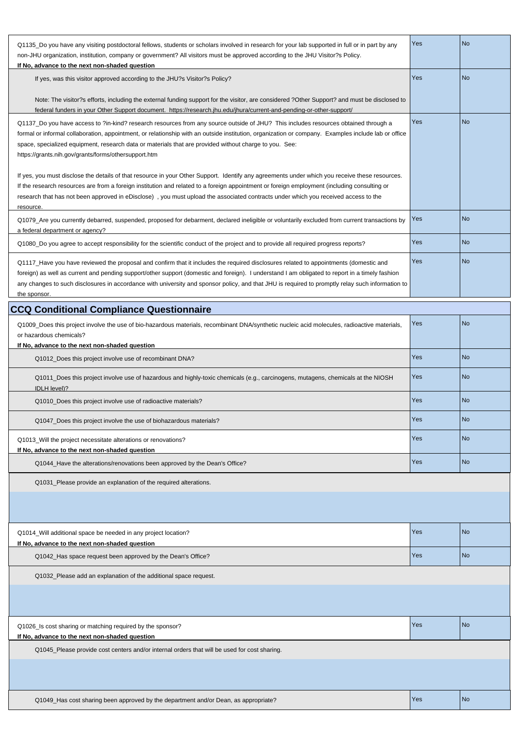| Q1135 Do you have any visiting postdoctoral fellows, students or scholars involved in research for your lab supported in full or in part by any     | Yes | No   |
|-----------------------------------------------------------------------------------------------------------------------------------------------------|-----|------|
| non-JHU organization, institution, company or government? All visitors must be approved according to the JHU Visitor?s Policy.                      |     |      |
| If No, advance to the next non-shaded question                                                                                                      |     |      |
| If yes, was this visitor approved according to the JHU?s Visitor?s Policy?                                                                          | Yes | No   |
|                                                                                                                                                     |     |      |
| Note: The visitor?s efforts, including the external funding support for the visitor, are considered ?Other Support? and must be disclosed to        |     |      |
| federal funders in your Other Support document. https://research.jhu.edu/jhura/current-and-pending-or-other-support/                                |     |      |
| Q1137 Do you have access to ?in-kind? research resources from any source outside of JHU? This includes resources obtained through a                 | Yes | No   |
| formal or informal collaboration, appointment, or relationship with an outside institution, organization or company. Examples include lab or office |     |      |
| space, specialized equipment, research data or materials that are provided without charge to you. See:                                              |     |      |
| https://grants.nih.gov/grants/forms/othersupport.htm                                                                                                |     |      |
|                                                                                                                                                     |     |      |
| If yes, you must disclose the details of that resource in your Other Support. Identify any agreements under which you receive these resources.      |     |      |
| If the research resources are from a foreign institution and related to a foreign appointment or foreign employment (including consulting or        |     |      |
| research that has not been approved in eDisclose), you must upload the associated contracts under which you received access to the                  |     |      |
| resource.                                                                                                                                           |     |      |
| Q1079_Are you currently debarred, suspended, proposed for debarment, declared ineligible or voluntarily excluded from current transactions by       | Yes | l No |
| a federal department or agency?                                                                                                                     |     |      |
| Q1080_Do you agree to accept responsibility for the scientific conduct of the project and to provide all required progress reports?                 | Yes | l No |
|                                                                                                                                                     |     |      |
| Q1117_Have you have reviewed the proposal and confirm that it includes the required disclosures related to appointments (domestic and               | Yes | No   |
| foreign) as well as current and pending support/other support (domestic and foreign). I understand I am obligated to report in a timely fashion     |     |      |
| any changes to such disclosures in accordance with university and sponsor policy, and that JHU is required to promptly relay such information to    |     |      |
| the sponsor.                                                                                                                                        |     |      |
| <b>CCQ Conditional Compliance Questionnaire</b>                                                                                                     |     |      |

| Q1009_Does this project involve the use of bio-hazardous materials, recombinant DNA/synthetic nucleic acid molecules, radioactive materials,<br>or hazardous chemicals? | Yes | No         |
|-------------------------------------------------------------------------------------------------------------------------------------------------------------------------|-----|------------|
| If No, advance to the next non-shaded question                                                                                                                          |     |            |
| Q1012_Does this project involve use of recombinant DNA?                                                                                                                 | Yes | <b>INo</b> |
| Q1011_Does this project involve use of hazardous and highly-toxic chemicals (e.g., carcinogens, mutagens, chemicals at the NIOSH<br>IDLH level)?                        | Yes | <b>INo</b> |
| Q1010_Does this project involve use of radioactive materials?                                                                                                           | Yes | <b>INo</b> |
| Q1047_Does this project involve the use of biohazardous materials?                                                                                                      | Yes | l No       |
| Q1013_Will the project necessitate alterations or renovations?<br>If No, advance to the next non-shaded question                                                        | Yes | <b>INo</b> |
| Q1044_Have the alterations/renovations been approved by the Dean's Office?                                                                                              | Yes | <b>INo</b> |
| Q1031_Please provide an explanation of the required alterations.                                                                                                        |     |            |
|                                                                                                                                                                         |     |            |
| 01014 Will additional space he needed in any project location?                                                                                                          | Yes | l No       |

| Q1014 Will additional space be needed in any project location? | <b>Yes</b> | <b>INc</b> |
|----------------------------------------------------------------|------------|------------|
| If No, advance to the next non-shaded question                 |            |            |
| Q1042_Has space request been approved by the Dean's Office?    | l Yes      | 1 Nc       |
|                                                                |            |            |

Q1032\_Please add an explanation of the additional space request.

| Q1026_Is cost sharing or matching required by the sponsor?<br>If No, advance to the next non-shaded question | Yes        | No  |
|--------------------------------------------------------------------------------------------------------------|------------|-----|
| Q1045_Please provide cost centers and/or internal orders that will be used for cost sharing.                 |            |     |
|                                                                                                              |            |     |
|                                                                                                              |            |     |
| Q1049_Has cost sharing been approved by the department and/or Dean, as appropriate?                          | <b>Yes</b> | 1No |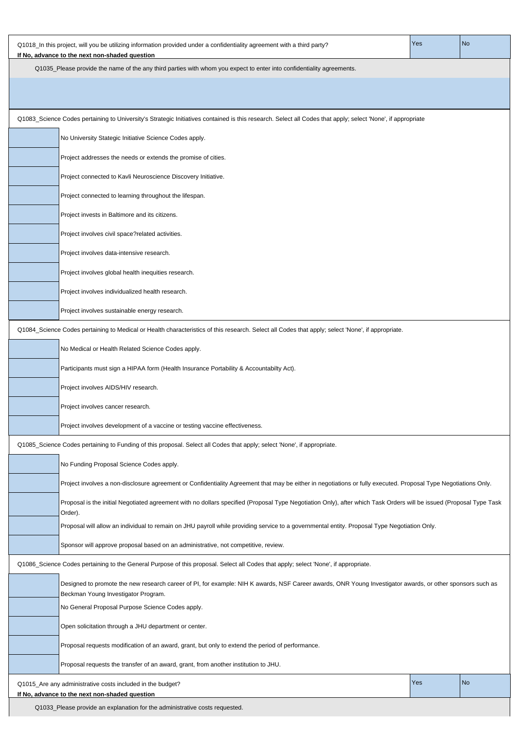| Q1035_Please provide the name of the any third parties with whom you expect to enter into confidentiality agreements.<br>Q1083_Science Codes pertaining to University's Strategic Initiatives contained is this research. Select all Codes that apply; select 'None', if appropriate<br>No University Stategic Initiative Science Codes apply.<br>Project addresses the needs or extends the promise of cities.<br>Project connected to Kavli Neuroscience Discovery Initiative.<br>Project connected to learning throughout the lifespan.<br>Project invests in Baltimore and its citizens.<br>Project involves civil space?related activities.<br>Project involves data-intensive research.<br>Project involves global health inequities research.<br>Project involves individualized health research.<br>Project involves sustainable energy research.<br>Q1084_Science Codes pertaining to Medical or Health characteristics of this research. Select all Codes that apply; select 'None', if appropriate.<br>No Medical or Health Related Science Codes apply.<br>Participants must sign a HIPAA form (Health Insurance Portability & Accountabilty Act).<br>Project involves AIDS/HIV research.<br>Project involves cancer research.<br>Project involves development of a vaccine or testing vaccine effectiveness.<br>Q1085_Science Codes pertaining to Funding of this proposal. Select all Codes that apply; select 'None', if appropriate.<br>No Funding Proposal Science Codes apply.<br>Project involves a non-disclosure agreement or Confidentiality Agreement that may be either in negotiations or fully executed. Proposal Type Negotiations Only.<br>Proposal is the initial Negotiated agreement with no dollars specified (Proposal Type Negotiation Only), after which Task Orders will be issued (Proposal Type Task<br>Order).<br>Proposal will allow an individual to remain on JHU payroll while providing service to a governmental entity. Proposal Type Negotiation Only.<br>Sponsor will approve proposal based on an administrative, not competitive, review.<br>Q1086_Science Codes pertaining to the General Purpose of this proposal. Select all Codes that apply; select 'None', if appropriate.<br>Designed to promote the new research career of PI, for example: NIH K awards, NSF Career awards, ONR Young Investigator awards, or other sponsors such as<br>Beckman Young Investigator Program.<br>No General Proposal Purpose Science Codes apply.<br>Open solicitation through a JHU department or center.<br>Proposal requests modification of an award, grant, but only to extend the period of performance.<br>Proposal requests the transfer of an award, grant, from another institution to JHU.<br>Yes<br>No<br>Q1015_Are any administrative costs included in the budget? | Q1018_In this project, will you be utilizing information provided under a confidentiality agreement with a third party?<br>If No, advance to the next non-shaded question | Yes | <b>No</b> |  |
|---------------------------------------------------------------------------------------------------------------------------------------------------------------------------------------------------------------------------------------------------------------------------------------------------------------------------------------------------------------------------------------------------------------------------------------------------------------------------------------------------------------------------------------------------------------------------------------------------------------------------------------------------------------------------------------------------------------------------------------------------------------------------------------------------------------------------------------------------------------------------------------------------------------------------------------------------------------------------------------------------------------------------------------------------------------------------------------------------------------------------------------------------------------------------------------------------------------------------------------------------------------------------------------------------------------------------------------------------------------------------------------------------------------------------------------------------------------------------------------------------------------------------------------------------------------------------------------------------------------------------------------------------------------------------------------------------------------------------------------------------------------------------------------------------------------------------------------------------------------------------------------------------------------------------------------------------------------------------------------------------------------------------------------------------------------------------------------------------------------------------------------------------------------------------------------------------------------------------------------------------------------------------------------------------------------------------------------------------------------------------------------------------------------------------------------------------------------------------------------------------------------------------------------------------------------------------------------------------------------------------------------------------------------------------------------------------------------------------------------------------------------------------------------------------------------------------|---------------------------------------------------------------------------------------------------------------------------------------------------------------------------|-----|-----------|--|
|                                                                                                                                                                                                                                                                                                                                                                                                                                                                                                                                                                                                                                                                                                                                                                                                                                                                                                                                                                                                                                                                                                                                                                                                                                                                                                                                                                                                                                                                                                                                                                                                                                                                                                                                                                                                                                                                                                                                                                                                                                                                                                                                                                                                                                                                                                                                                                                                                                                                                                                                                                                                                                                                                                                                                                                                                           |                                                                                                                                                                           |     |           |  |
|                                                                                                                                                                                                                                                                                                                                                                                                                                                                                                                                                                                                                                                                                                                                                                                                                                                                                                                                                                                                                                                                                                                                                                                                                                                                                                                                                                                                                                                                                                                                                                                                                                                                                                                                                                                                                                                                                                                                                                                                                                                                                                                                                                                                                                                                                                                                                                                                                                                                                                                                                                                                                                                                                                                                                                                                                           |                                                                                                                                                                           |     |           |  |
|                                                                                                                                                                                                                                                                                                                                                                                                                                                                                                                                                                                                                                                                                                                                                                                                                                                                                                                                                                                                                                                                                                                                                                                                                                                                                                                                                                                                                                                                                                                                                                                                                                                                                                                                                                                                                                                                                                                                                                                                                                                                                                                                                                                                                                                                                                                                                                                                                                                                                                                                                                                                                                                                                                                                                                                                                           |                                                                                                                                                                           |     |           |  |
|                                                                                                                                                                                                                                                                                                                                                                                                                                                                                                                                                                                                                                                                                                                                                                                                                                                                                                                                                                                                                                                                                                                                                                                                                                                                                                                                                                                                                                                                                                                                                                                                                                                                                                                                                                                                                                                                                                                                                                                                                                                                                                                                                                                                                                                                                                                                                                                                                                                                                                                                                                                                                                                                                                                                                                                                                           |                                                                                                                                                                           |     |           |  |
|                                                                                                                                                                                                                                                                                                                                                                                                                                                                                                                                                                                                                                                                                                                                                                                                                                                                                                                                                                                                                                                                                                                                                                                                                                                                                                                                                                                                                                                                                                                                                                                                                                                                                                                                                                                                                                                                                                                                                                                                                                                                                                                                                                                                                                                                                                                                                                                                                                                                                                                                                                                                                                                                                                                                                                                                                           |                                                                                                                                                                           |     |           |  |
|                                                                                                                                                                                                                                                                                                                                                                                                                                                                                                                                                                                                                                                                                                                                                                                                                                                                                                                                                                                                                                                                                                                                                                                                                                                                                                                                                                                                                                                                                                                                                                                                                                                                                                                                                                                                                                                                                                                                                                                                                                                                                                                                                                                                                                                                                                                                                                                                                                                                                                                                                                                                                                                                                                                                                                                                                           |                                                                                                                                                                           |     |           |  |
|                                                                                                                                                                                                                                                                                                                                                                                                                                                                                                                                                                                                                                                                                                                                                                                                                                                                                                                                                                                                                                                                                                                                                                                                                                                                                                                                                                                                                                                                                                                                                                                                                                                                                                                                                                                                                                                                                                                                                                                                                                                                                                                                                                                                                                                                                                                                                                                                                                                                                                                                                                                                                                                                                                                                                                                                                           |                                                                                                                                                                           |     |           |  |
|                                                                                                                                                                                                                                                                                                                                                                                                                                                                                                                                                                                                                                                                                                                                                                                                                                                                                                                                                                                                                                                                                                                                                                                                                                                                                                                                                                                                                                                                                                                                                                                                                                                                                                                                                                                                                                                                                                                                                                                                                                                                                                                                                                                                                                                                                                                                                                                                                                                                                                                                                                                                                                                                                                                                                                                                                           |                                                                                                                                                                           |     |           |  |
|                                                                                                                                                                                                                                                                                                                                                                                                                                                                                                                                                                                                                                                                                                                                                                                                                                                                                                                                                                                                                                                                                                                                                                                                                                                                                                                                                                                                                                                                                                                                                                                                                                                                                                                                                                                                                                                                                                                                                                                                                                                                                                                                                                                                                                                                                                                                                                                                                                                                                                                                                                                                                                                                                                                                                                                                                           |                                                                                                                                                                           |     |           |  |
|                                                                                                                                                                                                                                                                                                                                                                                                                                                                                                                                                                                                                                                                                                                                                                                                                                                                                                                                                                                                                                                                                                                                                                                                                                                                                                                                                                                                                                                                                                                                                                                                                                                                                                                                                                                                                                                                                                                                                                                                                                                                                                                                                                                                                                                                                                                                                                                                                                                                                                                                                                                                                                                                                                                                                                                                                           |                                                                                                                                                                           |     |           |  |
|                                                                                                                                                                                                                                                                                                                                                                                                                                                                                                                                                                                                                                                                                                                                                                                                                                                                                                                                                                                                                                                                                                                                                                                                                                                                                                                                                                                                                                                                                                                                                                                                                                                                                                                                                                                                                                                                                                                                                                                                                                                                                                                                                                                                                                                                                                                                                                                                                                                                                                                                                                                                                                                                                                                                                                                                                           |                                                                                                                                                                           |     |           |  |
|                                                                                                                                                                                                                                                                                                                                                                                                                                                                                                                                                                                                                                                                                                                                                                                                                                                                                                                                                                                                                                                                                                                                                                                                                                                                                                                                                                                                                                                                                                                                                                                                                                                                                                                                                                                                                                                                                                                                                                                                                                                                                                                                                                                                                                                                                                                                                                                                                                                                                                                                                                                                                                                                                                                                                                                                                           |                                                                                                                                                                           |     |           |  |
|                                                                                                                                                                                                                                                                                                                                                                                                                                                                                                                                                                                                                                                                                                                                                                                                                                                                                                                                                                                                                                                                                                                                                                                                                                                                                                                                                                                                                                                                                                                                                                                                                                                                                                                                                                                                                                                                                                                                                                                                                                                                                                                                                                                                                                                                                                                                                                                                                                                                                                                                                                                                                                                                                                                                                                                                                           |                                                                                                                                                                           |     |           |  |
|                                                                                                                                                                                                                                                                                                                                                                                                                                                                                                                                                                                                                                                                                                                                                                                                                                                                                                                                                                                                                                                                                                                                                                                                                                                                                                                                                                                                                                                                                                                                                                                                                                                                                                                                                                                                                                                                                                                                                                                                                                                                                                                                                                                                                                                                                                                                                                                                                                                                                                                                                                                                                                                                                                                                                                                                                           |                                                                                                                                                                           |     |           |  |
|                                                                                                                                                                                                                                                                                                                                                                                                                                                                                                                                                                                                                                                                                                                                                                                                                                                                                                                                                                                                                                                                                                                                                                                                                                                                                                                                                                                                                                                                                                                                                                                                                                                                                                                                                                                                                                                                                                                                                                                                                                                                                                                                                                                                                                                                                                                                                                                                                                                                                                                                                                                                                                                                                                                                                                                                                           |                                                                                                                                                                           |     |           |  |
|                                                                                                                                                                                                                                                                                                                                                                                                                                                                                                                                                                                                                                                                                                                                                                                                                                                                                                                                                                                                                                                                                                                                                                                                                                                                                                                                                                                                                                                                                                                                                                                                                                                                                                                                                                                                                                                                                                                                                                                                                                                                                                                                                                                                                                                                                                                                                                                                                                                                                                                                                                                                                                                                                                                                                                                                                           |                                                                                                                                                                           |     |           |  |
|                                                                                                                                                                                                                                                                                                                                                                                                                                                                                                                                                                                                                                                                                                                                                                                                                                                                                                                                                                                                                                                                                                                                                                                                                                                                                                                                                                                                                                                                                                                                                                                                                                                                                                                                                                                                                                                                                                                                                                                                                                                                                                                                                                                                                                                                                                                                                                                                                                                                                                                                                                                                                                                                                                                                                                                                                           |                                                                                                                                                                           |     |           |  |
|                                                                                                                                                                                                                                                                                                                                                                                                                                                                                                                                                                                                                                                                                                                                                                                                                                                                                                                                                                                                                                                                                                                                                                                                                                                                                                                                                                                                                                                                                                                                                                                                                                                                                                                                                                                                                                                                                                                                                                                                                                                                                                                                                                                                                                                                                                                                                                                                                                                                                                                                                                                                                                                                                                                                                                                                                           |                                                                                                                                                                           |     |           |  |
|                                                                                                                                                                                                                                                                                                                                                                                                                                                                                                                                                                                                                                                                                                                                                                                                                                                                                                                                                                                                                                                                                                                                                                                                                                                                                                                                                                                                                                                                                                                                                                                                                                                                                                                                                                                                                                                                                                                                                                                                                                                                                                                                                                                                                                                                                                                                                                                                                                                                                                                                                                                                                                                                                                                                                                                                                           |                                                                                                                                                                           |     |           |  |
|                                                                                                                                                                                                                                                                                                                                                                                                                                                                                                                                                                                                                                                                                                                                                                                                                                                                                                                                                                                                                                                                                                                                                                                                                                                                                                                                                                                                                                                                                                                                                                                                                                                                                                                                                                                                                                                                                                                                                                                                                                                                                                                                                                                                                                                                                                                                                                                                                                                                                                                                                                                                                                                                                                                                                                                                                           |                                                                                                                                                                           |     |           |  |
|                                                                                                                                                                                                                                                                                                                                                                                                                                                                                                                                                                                                                                                                                                                                                                                                                                                                                                                                                                                                                                                                                                                                                                                                                                                                                                                                                                                                                                                                                                                                                                                                                                                                                                                                                                                                                                                                                                                                                                                                                                                                                                                                                                                                                                                                                                                                                                                                                                                                                                                                                                                                                                                                                                                                                                                                                           |                                                                                                                                                                           |     |           |  |
|                                                                                                                                                                                                                                                                                                                                                                                                                                                                                                                                                                                                                                                                                                                                                                                                                                                                                                                                                                                                                                                                                                                                                                                                                                                                                                                                                                                                                                                                                                                                                                                                                                                                                                                                                                                                                                                                                                                                                                                                                                                                                                                                                                                                                                                                                                                                                                                                                                                                                                                                                                                                                                                                                                                                                                                                                           |                                                                                                                                                                           |     |           |  |
|                                                                                                                                                                                                                                                                                                                                                                                                                                                                                                                                                                                                                                                                                                                                                                                                                                                                                                                                                                                                                                                                                                                                                                                                                                                                                                                                                                                                                                                                                                                                                                                                                                                                                                                                                                                                                                                                                                                                                                                                                                                                                                                                                                                                                                                                                                                                                                                                                                                                                                                                                                                                                                                                                                                                                                                                                           |                                                                                                                                                                           |     |           |  |
|                                                                                                                                                                                                                                                                                                                                                                                                                                                                                                                                                                                                                                                                                                                                                                                                                                                                                                                                                                                                                                                                                                                                                                                                                                                                                                                                                                                                                                                                                                                                                                                                                                                                                                                                                                                                                                                                                                                                                                                                                                                                                                                                                                                                                                                                                                                                                                                                                                                                                                                                                                                                                                                                                                                                                                                                                           |                                                                                                                                                                           |     |           |  |
|                                                                                                                                                                                                                                                                                                                                                                                                                                                                                                                                                                                                                                                                                                                                                                                                                                                                                                                                                                                                                                                                                                                                                                                                                                                                                                                                                                                                                                                                                                                                                                                                                                                                                                                                                                                                                                                                                                                                                                                                                                                                                                                                                                                                                                                                                                                                                                                                                                                                                                                                                                                                                                                                                                                                                                                                                           |                                                                                                                                                                           |     |           |  |
|                                                                                                                                                                                                                                                                                                                                                                                                                                                                                                                                                                                                                                                                                                                                                                                                                                                                                                                                                                                                                                                                                                                                                                                                                                                                                                                                                                                                                                                                                                                                                                                                                                                                                                                                                                                                                                                                                                                                                                                                                                                                                                                                                                                                                                                                                                                                                                                                                                                                                                                                                                                                                                                                                                                                                                                                                           |                                                                                                                                                                           |     |           |  |
|                                                                                                                                                                                                                                                                                                                                                                                                                                                                                                                                                                                                                                                                                                                                                                                                                                                                                                                                                                                                                                                                                                                                                                                                                                                                                                                                                                                                                                                                                                                                                                                                                                                                                                                                                                                                                                                                                                                                                                                                                                                                                                                                                                                                                                                                                                                                                                                                                                                                                                                                                                                                                                                                                                                                                                                                                           |                                                                                                                                                                           |     |           |  |
|                                                                                                                                                                                                                                                                                                                                                                                                                                                                                                                                                                                                                                                                                                                                                                                                                                                                                                                                                                                                                                                                                                                                                                                                                                                                                                                                                                                                                                                                                                                                                                                                                                                                                                                                                                                                                                                                                                                                                                                                                                                                                                                                                                                                                                                                                                                                                                                                                                                                                                                                                                                                                                                                                                                                                                                                                           |                                                                                                                                                                           |     |           |  |
|                                                                                                                                                                                                                                                                                                                                                                                                                                                                                                                                                                                                                                                                                                                                                                                                                                                                                                                                                                                                                                                                                                                                                                                                                                                                                                                                                                                                                                                                                                                                                                                                                                                                                                                                                                                                                                                                                                                                                                                                                                                                                                                                                                                                                                                                                                                                                                                                                                                                                                                                                                                                                                                                                                                                                                                                                           |                                                                                                                                                                           |     |           |  |
|                                                                                                                                                                                                                                                                                                                                                                                                                                                                                                                                                                                                                                                                                                                                                                                                                                                                                                                                                                                                                                                                                                                                                                                                                                                                                                                                                                                                                                                                                                                                                                                                                                                                                                                                                                                                                                                                                                                                                                                                                                                                                                                                                                                                                                                                                                                                                                                                                                                                                                                                                                                                                                                                                                                                                                                                                           |                                                                                                                                                                           |     |           |  |
|                                                                                                                                                                                                                                                                                                                                                                                                                                                                                                                                                                                                                                                                                                                                                                                                                                                                                                                                                                                                                                                                                                                                                                                                                                                                                                                                                                                                                                                                                                                                                                                                                                                                                                                                                                                                                                                                                                                                                                                                                                                                                                                                                                                                                                                                                                                                                                                                                                                                                                                                                                                                                                                                                                                                                                                                                           |                                                                                                                                                                           |     |           |  |
|                                                                                                                                                                                                                                                                                                                                                                                                                                                                                                                                                                                                                                                                                                                                                                                                                                                                                                                                                                                                                                                                                                                                                                                                                                                                                                                                                                                                                                                                                                                                                                                                                                                                                                                                                                                                                                                                                                                                                                                                                                                                                                                                                                                                                                                                                                                                                                                                                                                                                                                                                                                                                                                                                                                                                                                                                           |                                                                                                                                                                           |     |           |  |
|                                                                                                                                                                                                                                                                                                                                                                                                                                                                                                                                                                                                                                                                                                                                                                                                                                                                                                                                                                                                                                                                                                                                                                                                                                                                                                                                                                                                                                                                                                                                                                                                                                                                                                                                                                                                                                                                                                                                                                                                                                                                                                                                                                                                                                                                                                                                                                                                                                                                                                                                                                                                                                                                                                                                                                                                                           |                                                                                                                                                                           |     |           |  |
| Q1033_Please provide an explanation for the administrative costs requested.                                                                                                                                                                                                                                                                                                                                                                                                                                                                                                                                                                                                                                                                                                                                                                                                                                                                                                                                                                                                                                                                                                                                                                                                                                                                                                                                                                                                                                                                                                                                                                                                                                                                                                                                                                                                                                                                                                                                                                                                                                                                                                                                                                                                                                                                                                                                                                                                                                                                                                                                                                                                                                                                                                                                               | If No, advance to the next non-shaded question                                                                                                                            |     |           |  |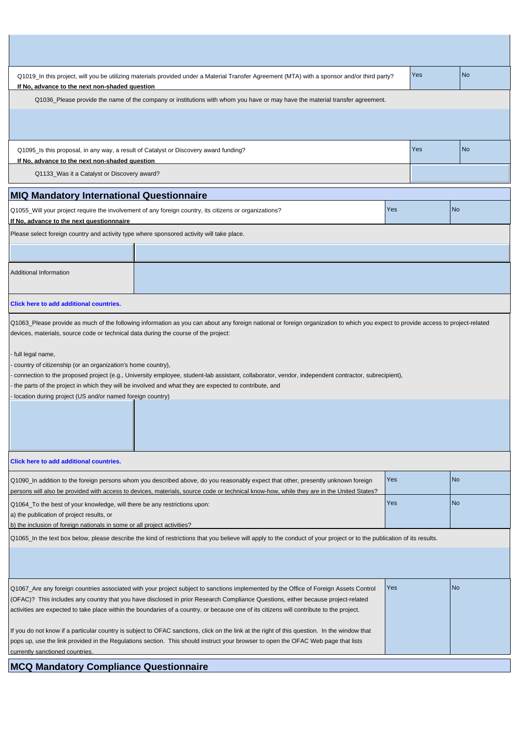| Q1019_In this project, will you be utilizing materials provided under a Material Transfer Agreement (MTA) with a sponsor and/or third party?<br>If No, advance to the next non-shaded question                                                                                                                                                                                                                                                                                                                                                                                                                                                                                         |     | Yes | <b>No</b> |  |
|----------------------------------------------------------------------------------------------------------------------------------------------------------------------------------------------------------------------------------------------------------------------------------------------------------------------------------------------------------------------------------------------------------------------------------------------------------------------------------------------------------------------------------------------------------------------------------------------------------------------------------------------------------------------------------------|-----|-----|-----------|--|
| Q1036_Please provide the name of the company or institutions with whom you have or may have the material transfer agreement.                                                                                                                                                                                                                                                                                                                                                                                                                                                                                                                                                           |     |     |           |  |
|                                                                                                                                                                                                                                                                                                                                                                                                                                                                                                                                                                                                                                                                                        |     |     |           |  |
| Q1095_Is this proposal, in any way, a result of Catalyst or Discovery award funding?<br>If No, advance to the next non-shaded question                                                                                                                                                                                                                                                                                                                                                                                                                                                                                                                                                 |     | Yes | <b>No</b> |  |
| Q1133_Was it a Catalyst or Discovery award?                                                                                                                                                                                                                                                                                                                                                                                                                                                                                                                                                                                                                                            |     |     |           |  |
| <b>MIQ Mandatory International Questionnaire</b>                                                                                                                                                                                                                                                                                                                                                                                                                                                                                                                                                                                                                                       |     |     |           |  |
| Q1055_Will your project require the involvement of any foreign country, its citizens or organizations?<br>If No, advance to the next questionnnaire                                                                                                                                                                                                                                                                                                                                                                                                                                                                                                                                    | Yes |     | <b>No</b> |  |
| Please select foreign country and activity type where sponsored activity will take place.                                                                                                                                                                                                                                                                                                                                                                                                                                                                                                                                                                                              |     |     |           |  |
|                                                                                                                                                                                                                                                                                                                                                                                                                                                                                                                                                                                                                                                                                        |     |     |           |  |
| <b>Additional Information</b>                                                                                                                                                                                                                                                                                                                                                                                                                                                                                                                                                                                                                                                          |     |     |           |  |
| Click here to add additional countries.                                                                                                                                                                                                                                                                                                                                                                                                                                                                                                                                                                                                                                                |     |     |           |  |
| Q1063_Please provide as much of the following information as you can about any foreign national or foreign organization to which you expect to provide access to project-related<br>devices, materials, source code or technical data during the course of the project:<br>full legal name,<br>country of citizenship (or an organization's home country),<br>connection to the proposed project (e.g., University employee, student-lab assistant, collaborator, vendor, independent contractor, subrecipient),<br>the parts of the project in which they will be involved and what they are expected to contribute, and<br>location during project (US and/or named foreign country) |     |     |           |  |
|                                                                                                                                                                                                                                                                                                                                                                                                                                                                                                                                                                                                                                                                                        |     |     |           |  |
| <b>Click here to add additional countries.</b>                                                                                                                                                                                                                                                                                                                                                                                                                                                                                                                                                                                                                                         |     |     |           |  |
| Q1090_In addition to the foreign persons whom you described above, do you reasonably expect that other, presently unknown foreign<br>persons will also be provided with access to devices, materials, source code or technical know-how, while they are in the United States?                                                                                                                                                                                                                                                                                                                                                                                                          | Yes |     | <b>No</b> |  |
| Q1064_To the best of your knowledge, will there be any restrictions upon:<br>a) the publication of project results, or<br>b) the inclusion of foreign nationals in some or all project activities?                                                                                                                                                                                                                                                                                                                                                                                                                                                                                     | Yes |     | <b>No</b> |  |
| Q1065_In the text box below, please describe the kind of restrictions that you believe will apply to the conduct of your project or to the publication of its results.                                                                                                                                                                                                                                                                                                                                                                                                                                                                                                                 |     |     |           |  |
|                                                                                                                                                                                                                                                                                                                                                                                                                                                                                                                                                                                                                                                                                        |     |     |           |  |
| Yes<br><b>No</b><br>Q1067_Are any foreign countries associated with your project subject to sanctions implemented by the Office of Foreign Assets Control<br>(OFAC)? This includes any country that you have disclosed in prior Research Compliance Questions, either because project-related<br>activities are expected to take place within the boundaries of a country, or because one of its citizens will contribute to the project.                                                                                                                                                                                                                                              |     |     |           |  |
| If you do not know if a particular country is subject to OFAC sanctions, click on the link at the right of this question. In the window that<br>pops up, use the link provided in the Regulations section. This should instruct your browser to open the OFAC Web page that lists<br>currently sanctioned countries.                                                                                                                                                                                                                                                                                                                                                                   |     |     |           |  |

ı

**MCQ Mandatory Compliance Questionnaire**

 $\mathbf{I}$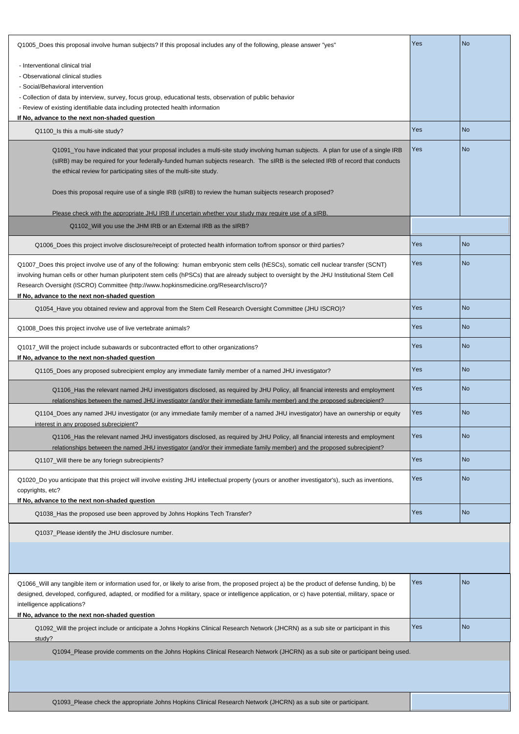| Q1005_Does this proposal involve human subjects? If this proposal includes any of the following, please answer "yes"                                                                                                                                                                                 | Yes | <b>No</b> |
|------------------------------------------------------------------------------------------------------------------------------------------------------------------------------------------------------------------------------------------------------------------------------------------------------|-----|-----------|
| - Interventional clinical trial                                                                                                                                                                                                                                                                      |     |           |
| - Observational clinical studies                                                                                                                                                                                                                                                                     |     |           |
| - Social/Behavioral intervention                                                                                                                                                                                                                                                                     |     |           |
| - Collection of data by interview, survey, focus group, educational tests, observation of public behavior                                                                                                                                                                                            |     |           |
| - Review of existing identifiable data including protected health information                                                                                                                                                                                                                        |     |           |
| If No, advance to the next non-shaded question                                                                                                                                                                                                                                                       |     |           |
| Q1100_Is this a multi-site study?                                                                                                                                                                                                                                                                    | Yes | <b>No</b> |
| Q1091_You have indicated that your proposal includes a multi-site study involving human subjects. A plan for use of a single IRB                                                                                                                                                                     | Yes | <b>No</b> |
| (sIRB) may be required for your federally-funded human subjects research. The sIRB is the selected IRB of record that conducts                                                                                                                                                                       |     |           |
| the ethical review for participating sites of the multi-site study.                                                                                                                                                                                                                                  |     |           |
|                                                                                                                                                                                                                                                                                                      |     |           |
| Does this proposal require use of a single IRB (sIRB) to review the human suibjects research proposed?                                                                                                                                                                                               |     |           |
| Please check with the appropriate JHU IRB if uncertain whether your study may require use of a sIRB.                                                                                                                                                                                                 |     |           |
| Q1102_Will you use the JHM IRB or an External IRB as the sIRB?                                                                                                                                                                                                                                       |     |           |
|                                                                                                                                                                                                                                                                                                      |     |           |
| Q1006_Does this project involve disclosure/receipt of protected health information to/from sponsor or third parties?                                                                                                                                                                                 | Yes | <b>No</b> |
| Q1007_Does this project involve use of any of the following: human embryonic stem cells (hESCs), somatic cell nuclear transfer (SCNT)                                                                                                                                                                | Yes | <b>No</b> |
| involving human cells or other human pluripotent stem cells (hPSCs) that are already subject to oversight by the JHU Institutional Stem Cell                                                                                                                                                         |     |           |
| Research Oversight (ISCRO) Committee (http://www.hopkinsmedicine.org/Research/iscro/)?                                                                                                                                                                                                               |     |           |
| If No, advance to the next non-shaded question                                                                                                                                                                                                                                                       |     |           |
| Q1054_Have you obtained review and approval from the Stem Cell Research Oversight Committee (JHU ISCRO)?                                                                                                                                                                                             | Yes | <b>No</b> |
| Q1008_Does this project involve use of live vertebrate animals?                                                                                                                                                                                                                                      | Yes | <b>No</b> |
| Q1017_Will the project include subawards or subcontracted effort to other organizations?                                                                                                                                                                                                             | Yes | <b>No</b> |
| If No, advance to the next non-shaded question                                                                                                                                                                                                                                                       |     |           |
| Q1105_Does any proposed subrecipient employ any immediate family member of a named JHU investigator?                                                                                                                                                                                                 | Yes | <b>No</b> |
| Q1106_Has the relevant named JHU investigators disclosed, as required by JHU Policy, all financial interests and employment                                                                                                                                                                          | Yes | <b>No</b> |
| relationships between the named JHU investigator (and/or their immediate family member) and the proposed subrecipient?                                                                                                                                                                               |     |           |
| Q1104_Does any named JHU investigator (or any immediate family member of a named JHU investigator) have an ownership or equity                                                                                                                                                                       | Yes | <b>No</b> |
| interest in any proposed subrecipient?                                                                                                                                                                                                                                                               |     |           |
| Q1106_Has the relevant named JHU investigators disclosed, as required by JHU Policy, all financial interests and employment                                                                                                                                                                          | Yes | <b>No</b> |
| relationships between the named JHU investigator (and/or their immediate family member) and the proposed subrecipient?                                                                                                                                                                               |     |           |
| Q1107_Will there be any foriegn subrecipients?                                                                                                                                                                                                                                                       | Yes | <b>No</b> |
|                                                                                                                                                                                                                                                                                                      |     |           |
| Q1020_Do you anticipate that this project will involve existing JHU intellectual property (yours or another investigator's), such as inventions,                                                                                                                                                     | Yes | <b>No</b> |
| copyrights, etc?<br>If No, advance to the next non-shaded question                                                                                                                                                                                                                                   |     |           |
|                                                                                                                                                                                                                                                                                                      | Yes | <b>No</b> |
| Q1038_Has the proposed use been approved by Johns Hopkins Tech Transfer?                                                                                                                                                                                                                             |     |           |
| Q1037_Please identify the JHU disclosure number.                                                                                                                                                                                                                                                     |     |           |
|                                                                                                                                                                                                                                                                                                      |     |           |
|                                                                                                                                                                                                                                                                                                      |     |           |
|                                                                                                                                                                                                                                                                                                      | Yes | <b>No</b> |
| Q1066_Will any tangible item or information used for, or likely to arise from, the proposed project a) be the product of defense funding, b) be<br>designed, developed, configured, adapted, or modified for a military, space or intelligence application, or c) have potential, military, space or |     |           |
| intelligence applications?                                                                                                                                                                                                                                                                           |     |           |
| If No, advance to the next non-shaded question                                                                                                                                                                                                                                                       |     |           |
| Q1092_Will the project include or anticipate a Johns Hopkins Clinical Research Network (JHCRN) as a sub site or participant in this                                                                                                                                                                  | Yes | <b>No</b> |
| study?                                                                                                                                                                                                                                                                                               |     |           |
| Q1094_Please provide comments on the Johns Hopkins Clinical Research Network (JHCRN) as a sub site or participant being used.                                                                                                                                                                        |     |           |
|                                                                                                                                                                                                                                                                                                      |     |           |
|                                                                                                                                                                                                                                                                                                      |     |           |
|                                                                                                                                                                                                                                                                                                      |     |           |
| Q1093_Please check the appropriate Johns Hopkins Clinical Research Network (JHCRN) as a sub site or participant.                                                                                                                                                                                     |     |           |